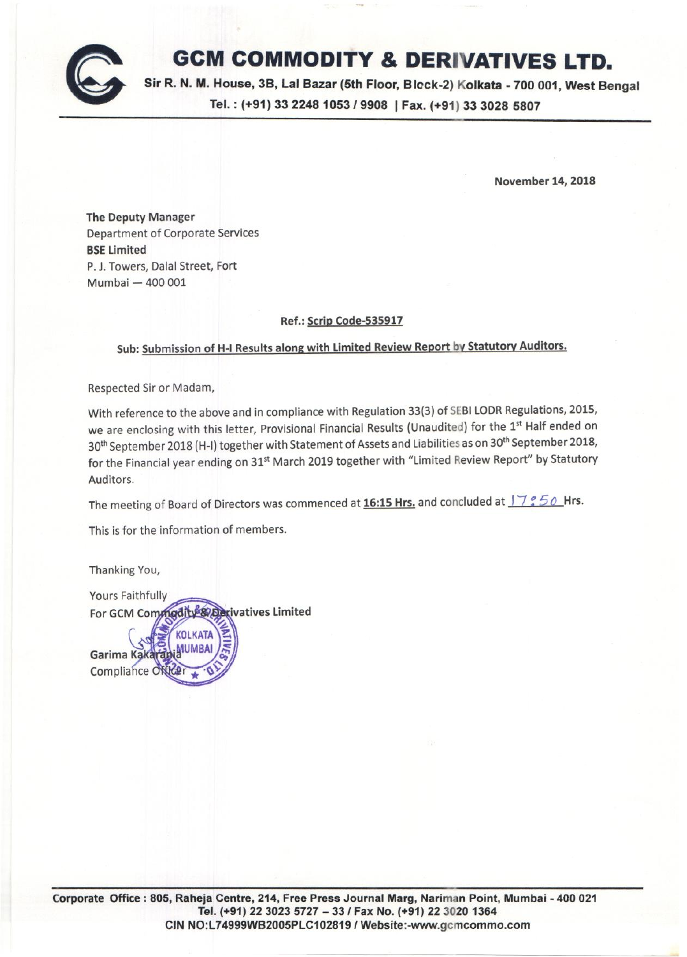

# **GCM COMMODITY & DERIVATIVES LTD.**

Sir R. N. M. House, 3B, Lal Bazar (5th Floor, Block-2) Kolkata -700 001, West Bengal Tel. : (+91) <sup>33</sup> *22481053/9908* I Fax. (+91) <sup>33</sup> <sup>3028</sup> <sup>5807</sup>

November 14, 2018

The Deputy Manager Department of Corporate Services **BSE Limited** P.J. Towers, Dalal Street, Fort Mumbai - 400 001

### Ref.: Scrip Code-535917

## Sub: Submission of H-I Results along with Limited Review Report by Statutory Auditors.

Respected Sir or Madam,

With reference to the above and in compliance with Regulation 33(3) of SEBI LODR Regulations, 2015, we are enclosing with this letter, Provisional Financial Results (Unaudited) for the 1st Half ended on 30<sup>th</sup> September 2018 (H-I) together with Statement of Assets and Liabilities as on 30<sup>th</sup> September 2018, for the Financial year ending on 31<sup>st</sup> March 2019 together with "Limited Review Report" by Statutory Auditors.

The meeting of Board of Directors was commenced at 16:15 Hrs. and concluded at  $17°50$  Hrs.

This is for the information of members.

Thanking You,

Yours Faithfully rivatives Limited For GCM Com

Garima Ka Compliance C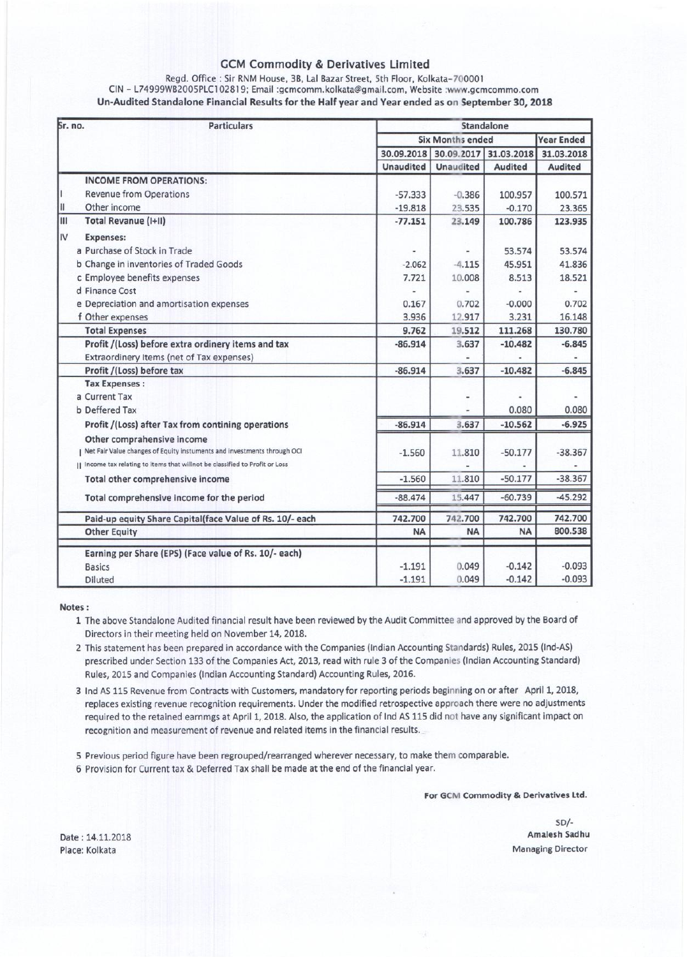### GCM Commodity & Derivatives Limited

| Regd. Office: Sir RNM House, 3B, Lal Bazar Street, 5th Floor, Kolkata-700001                      |
|---------------------------------------------------------------------------------------------------|
| CIN – L74999WB2005PLC102819; Email :gcmcomm.kolkata@gmail.com, Website :www.gcmcommo.com          |
| Un-Audited Standalone Financial Results for the Half year and Year ended as on September 30, 2018 |

| Sr. no. | <b>Particulars</b>                                                        |                         | Standalone       |                |                   |  |
|---------|---------------------------------------------------------------------------|-------------------------|------------------|----------------|-------------------|--|
|         |                                                                           | <b>Six Months ended</b> |                  |                | <b>Year Ended</b> |  |
|         |                                                                           | 30.09.2018              | 30.09.2017       | 31.03.2018     | 31.03.2018        |  |
|         |                                                                           | <b>Unaudited</b>        | <b>Unaudited</b> | <b>Audited</b> | <b>Audited</b>    |  |
|         | <b>INCOME FROM OPERATIONS:</b>                                            |                         |                  |                |                   |  |
|         | <b>Revenue from Operations</b>                                            | $-57.333$               | $-0.386$         | 100.957        | 100.571           |  |
| Ш       | Other income                                                              | $-19.818$               | 23.535           | $-0.170$       | 23.365            |  |
| Ш       | <b>Total Revanue (I+II)</b>                                               | $-77.151$               | 23.149           | 100.786        | 123.935           |  |
| IV      | <b>Expenses:</b>                                                          |                         |                  |                |                   |  |
|         | a Purchase of Stock in Trade                                              |                         |                  | 53.574         | 53.574            |  |
|         | b Change in inventories of Traded Goods                                   | $-2.062$                | $-4.115$         | 45.951         | 41.836            |  |
|         | c Employee benefits expenses                                              | 7.721                   | 10.008           | 8.513          | 18.521            |  |
|         | d Finance Cost                                                            |                         |                  |                |                   |  |
|         | e Depreciation and amortisation expenses                                  | 0.167                   | 0.702            | $-0.000$       | 0.702             |  |
|         | f Other expenses                                                          | 3.936                   | 12.917           | 3.231          | 16.148            |  |
|         | <b>Total Expenses</b>                                                     | 9.762                   | 19.512           | 111.268        | 130.780           |  |
|         | Profit /(Loss) before extra ordinery items and tax                        | $-86.914$               | 3.637            | $-10.482$      | $-6.845$          |  |
|         | Extraordinery Items (net of Tax expenses)                                 |                         |                  |                |                   |  |
|         | Profit /(Loss) before tax                                                 | $-86.914$               | 3.637            | $-10.482$      | $-6.845$          |  |
|         | <b>Tax Expenses:</b>                                                      |                         |                  |                |                   |  |
|         | a Current Tax                                                             |                         |                  |                |                   |  |
|         | <b>b</b> Deffered Tax                                                     |                         |                  | 0.080          | 0.080             |  |
|         | Profit /(Loss) after Tax from contining operations                        | $-86.914$               | 3.637            | $-10.562$      | $-6.925$          |  |
|         | Other comprahensive income                                                |                         |                  |                |                   |  |
|         | Net Fair Value changes of Equity instuments and investments through OCI   | $-1.560$                | 11.810           | $-50.177$      | $-38.367$         |  |
|         | Income tax relating to items that willnot be classified to Profit or Loss |                         |                  |                |                   |  |
|         | Total other comprehensive income                                          | $-1.560$                | 11.810           | $-50.177$      | $-38.367$         |  |
|         | Total comprehensive income for the period                                 | $-88.474$               | 15,447           | $-60.739$      | $-45.292$         |  |
|         | Paid-up equity Share Capital(face Value of Rs. 10/- each                  | 742.700                 | 742.700          | 742.700        | 742.700           |  |
|         | <b>Other Equity</b>                                                       | <b>NA</b>               | <b>NA</b>        | <b>NA</b>      | 800.538           |  |
|         | Earning per Share (EPS) (Face value of Rs. 10/- each)                     |                         |                  |                |                   |  |
|         | <b>Basics</b>                                                             | $-1.191$                | 0.049            | $-0.142$       | $-0.093$          |  |
|         | <b>Diluted</b>                                                            | $-1.191$                | 0.049            | $-0.142$       | $-0.093$          |  |

#### Notes:

- 1 The above Standalone Audited financial result have been reviewed by the Audit Committee and approved by the Board of Directors in their meeting held on November 14, 2018.
- 2 This statement has been prepared in accordance with the Companies (Indian Accounting Standards) Rules, 2015 (lnd-AS) prescribed under Section 133 of the Companies Act, 2013, read with rule 3 of the Companies (Indian Accounting Standard) Rules, 2015 and Companies (Indian Accounting Standard) Accounting Rules, 2016.
- 3 Ind AS 115 Revenue from Contracts with Customers, mandatory for reporting periods beginning on or after April 1, 2018, replaces existing revenue recognition requirements. Under the modified retrospective approach there were no adjustments required to the retained earnmgs at April 1, 2018. Also, the application of Ind AS 115 did not have any significant impact on recognition and measurement of revenue and related items in the financial results.\_
- 5 Previous period figure have been regrouped/rearranged wherever necessary, to make them comparable.
- 6 Provision for Current tax & Deferred Tax shall be made at the end of the financial year.

For GCM Commodity & Derivatives Ltd.

SD/- Amalesh Sadhu Managing Director

Date: 14.11.2018 Place: Kolkata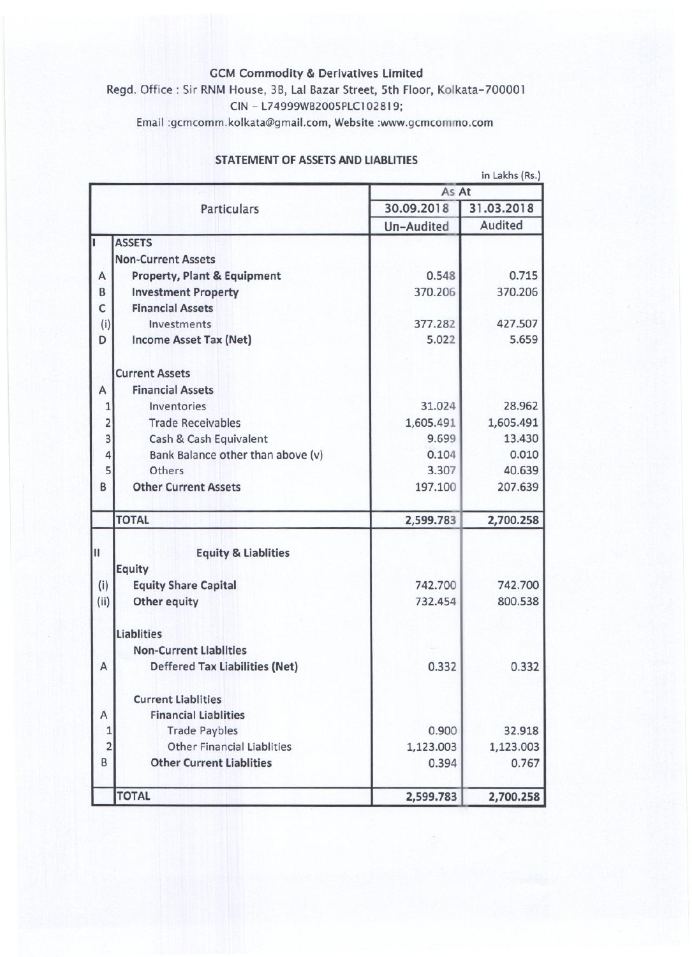## GCM Commodity & Derivatives Limited

Regd. Office: Sir RNM House, 3B, Lal Bazar Street, 5th Floor, Kolkata-700001 CIN - L74999WB2005PLCI 02819;

Email [:gcmcomm.kolkata@gmail.com,](mailto::gcmcomm.kolkata@gmail.com,) Website [:www.gcmcommo.com](http://:www.gcmcommo.com)

|                |                                        |            | in Lakhs (Rs.) |  |
|----------------|----------------------------------------|------------|----------------|--|
|                |                                        | As At      |                |  |
|                | <b>Particulars</b>                     | 30.09.2018 | 31.03.2018     |  |
|                |                                        | Un-Audited | Audited        |  |
|                | <b>ASSETS</b>                          |            |                |  |
|                | <b>Non-Current Assets</b>              |            |                |  |
| Α              | <b>Property, Plant &amp; Equipment</b> | 0.548      | 0.715          |  |
| B              | <b>Investment Property</b>             | 370.206    | 370.206        |  |
| C              | <b>Financial Assets</b>                |            |                |  |
| (i)            | Investments                            | 377.282    | 427.507        |  |
| D              | Income Asset Tax (Net)                 | 5.022      | 5.659          |  |
|                | <b>Current Assets</b>                  |            |                |  |
| Α              | <b>Financial Assets</b>                |            |                |  |
| $\mathbf 1$    | Inventories                            | 31.024     | 28.962         |  |
| $\overline{2}$ | <b>Trade Receivables</b>               | 1,605.491  | 1,605.491      |  |
| $\overline{3}$ | Cash & Cash Equivalent                 | 9.699      | 13.430         |  |
| 4              | Bank Balance other than above (v)      | 0.104      | 0.010          |  |
| 5              | Others                                 | 3.307      | 40.639         |  |
| B              | <b>Other Current Assets</b>            | 197.100    | 207.639        |  |
|                | <b>TOTAL</b>                           | 2,599.783  | 2,700.258      |  |
|                |                                        |            |                |  |
| Ш              | <b>Equity &amp; Liablities</b>         |            |                |  |
|                | <b>Equity</b>                          |            |                |  |
| (i)            | <b>Equity Share Capital</b>            | 742.700    | 742.700        |  |
| (ii)           | Other equity                           | 732.454    | 800.538        |  |
|                | <b>Liablities</b>                      |            |                |  |
|                | <b>Non-Current Liablities</b>          |            |                |  |
| Α              | <b>Deffered Tax Liabilities (Net)</b>  | 0.332      | 0.332          |  |
|                | <b>Current Liablities</b>              |            |                |  |
| А              | <b>Financial Liablities</b>            |            |                |  |
| 1              | <b>Trade Paybles</b>                   | 0.900      | 32.918         |  |
| $\overline{a}$ | <b>Other Financial Liablities</b>      | 1,123.003  | 1,123.003      |  |
| B              | <b>Other Current Liablities</b>        | 0.394      | 0.767          |  |
|                | <b>TOTAL</b>                           | 2,599.783  | 2,700.258      |  |

## STATEMENT OF ASSETS AND LIABLITIES